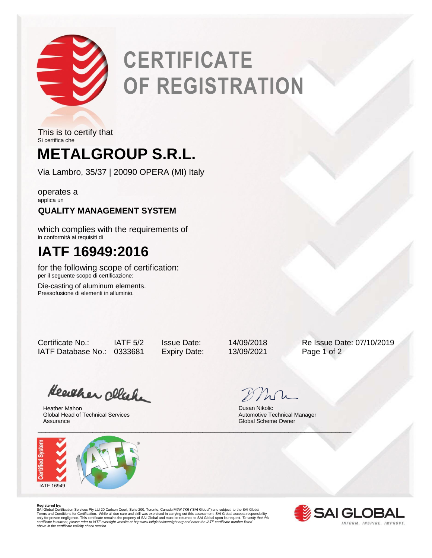

# **CERTIFICATE OF REGISTRATION**

This is to certify that Si certifica che

## **METALGROUP S.R.L.**

Via Lambro, 35/37 | 20090 OPERA (MI) Italy

operates a applica un

## **QUALITY MANAGEMENT SYSTEM**

which complies with the requirements of in conformità ai requisiti di

## **IATF 16949:2016**

for the following scope of certification: per il seguente scopo di certificazione:

Die-casting of aluminum elements. Pressofusione di elementi in alluminio.

IATF Database No.: 0333681 Expiry Date: 13/09/2021 Page 1 of 2

Certificate No.: IATF 5/2 Issue Date: 14/09/2018 Re Issue Date: 07/10/2019

Heather click

Heather Mahon Global Head of Technical Services Assurance



Dusan Nikolic Automotive Technical Manager Global Scheme Owner

**Registered by:**<br>SAI Global Certification Services Pty Ltd 20 Carlson Court, Suite 200; Toronto, Canada M9W 7K6 ("SAI Global") and subject to the SAI Global<br>Terms and Conditions for Certification. While all due care and sk *certificate is current, please refer to IATF oversight website at http:www.iatfglobaloversight.org and enter the IATF certificate number listed above in the certificate validity check section.*